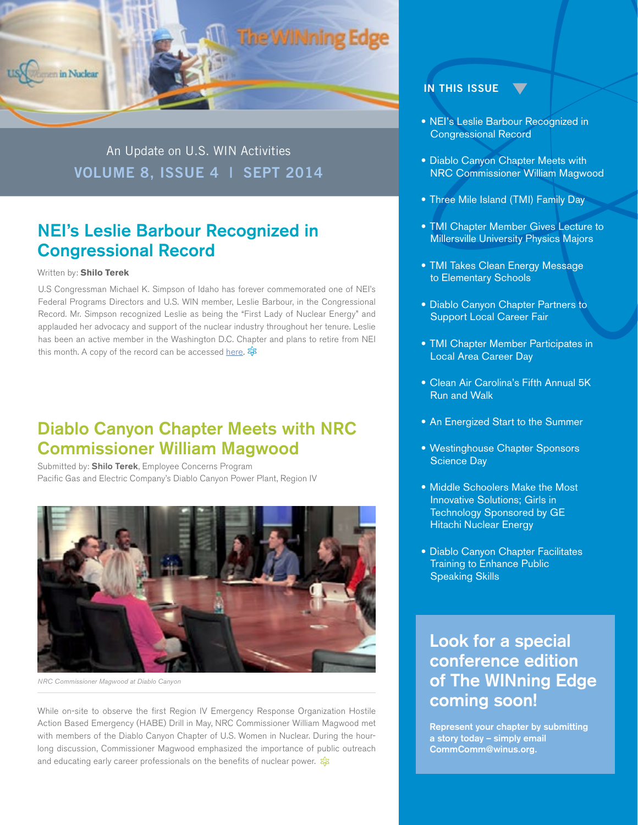

An Update on U.S. WIN Activities **VOLUME 8, ISSUE 4 | SEPT 2014**

## NEI's Leslie Barbour Recognized in Congressional Record

#### Written by: **Shilo Terek**

U.S Congressman Michael K. Simpson of Idaho has forever commemorated one of NEI's Federal Programs Directors and U.S. WIN member, Leslie Barbour, in the Congressional Record. Mr. Simpson recognized Leslie as being the "First Lady of Nuclear Energy" and applauded her advocacy and support of the nuclear industry throughout her tenure. Leslie has been an active member in the Washington D.C. Chapter and plans to retire from NEI this month. A copy of the record can be accessed [here](http://www.gpo.gov/fdsys/pkg/CREC-2014-06-23/pdf/CREC-2014-06-23-pt1-PgE1051-6.pdf#page=1)*.* 

#### Diablo Canyon Chapter Meets with NRC Commissioner William Magwood

Submitted by: **Shilo Terek**, Employee Concerns Program Pacific Gas and Electric Company's Diablo Canyon Power Plant, Region IV



*NRC Commissioner Magwood at Diablo Canyon* 

While on-site to observe the first Region IV Emergency Response Organization Hostile Action Based Emergency (HABE) Drill in May, NRC Commissioner William Magwood met with members of the Diablo Canyon Chapter of U.S. Women in Nuclear. During the hourlong discussion, Commissioner Magwood emphasized the importance of public outreach and educating early career professionals on the benefits of nuclear power.  $\frac{2}{3}$ 

#### **IN THIS ISSUE**

- NEI's Leslie Barbour Recognized in Congressional Record
- Diablo Canyon Chapter Meets with NRC Commissioner William Magwood
- Three Mile Island (TMI) Family Day
- TMI Chapter Member Gives Lecture to Millersville University Physics Majors
- TMI Takes Clean Energy Message to Elementary Schools
- Diablo Canyon Chapter Partners to Support Local Career Fair
- TMI Chapter Member Participates in Local Area Career Day
- Clean Air Carolina's Fifth Annual 5K Run and Walk
- An Energized Start to the Summer
- Westinghouse Chapter Sponsors Science Day
- Middle Schoolers Make the Most Innovative Solutions; Girls in Technology Sponsored by GE Hitachi Nuclear Energy
- Diablo Canyon Chapter Facilitates Training to Enhance Public Speaking Skills

#### **Look for a special conference edition of The WINning Edge coming soon!**

**Represent your chapter by submitting a story today – simply email CommComm@winus.org.**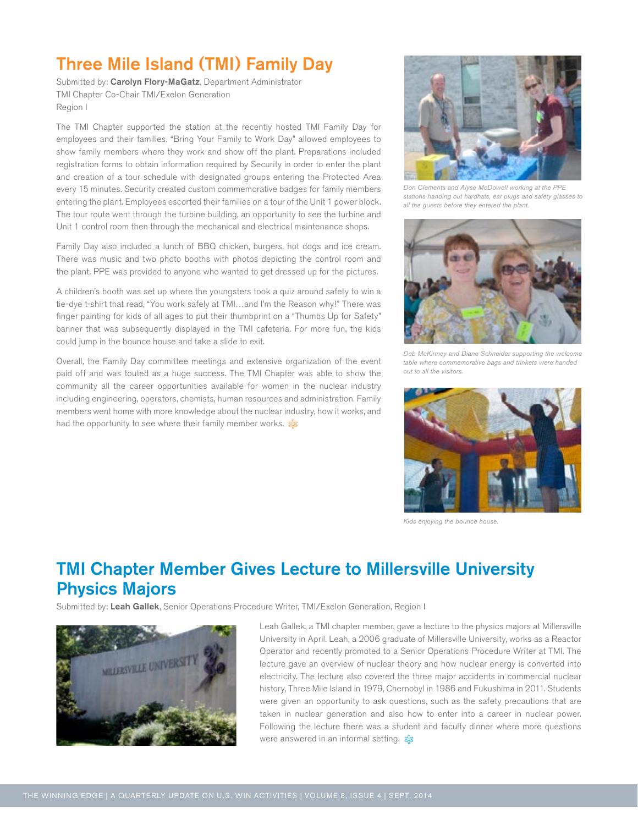## Three Mile Island (TMI) Family Day

Submitted by: Carolyn Flory-MaGatz, Department Administrator TMI Chapter Co-Chair TMI/Exelon Generation Region I

The TMI Chapter supported the station at the recently hosted TMI Family Day for employees and their families. "Bring Your Family to Work Day" allowed employees to show family members where they work and show off the plant. Preparations included registration forms to obtain information required by Security in order to enter the plant and creation of a tour schedule with designated groups entering the Protected Area every 15 minutes. Security created custom commemorative badges for family members entering the plant. Employees escorted their families on a tour of the Unit 1 power block. The tour route went through the turbine building, an opportunity to see the turbine and Unit 1 control room then through the mechanical and electrical maintenance shops.

Family Day also included a lunch of BBQ chicken, burgers, hot dogs and ice cream. There was music and two photo booths with photos depicting the control room and the plant. PPE was provided to anyone who wanted to get dressed up for the pictures.

A children's booth was set up where the youngsters took a quiz around safety to win a tie-dye t-shirt that read, "You work safely at TMI…and I'm the Reason why!" There was finger painting for kids of all ages to put their thumbprint on a "Thumbs Up for Safety" banner that was subsequently displayed in the TMI cafeteria. For more fun, the kids could jump in the bounce house and take a slide to exit.

Overall, the Family Day committee meetings and extensive organization of the event paid off and was touted as a huge success. The TMI Chapter was able to show the community all the career opportunities available for women in the nuclear industry including engineering, operators, chemists, human resources and administration. Family members went home with more knowledge about the nuclear industry, how it works, and had the opportunity to see where their family member works.  $\frac{1}{2}$ 



*Don Clements and Alyse McDowell working at the PPE stations handing out hardhats, ear plugs and safety glasses to all the guests before they entered the plant.*



*Deb McKinney and Diane Schneider supporting the welcome table where commemorative bags and trinkets were handed out to all the visitors.*



*Kids enjoying the bounce house.*

### TMI Chapter Member Gives Lecture to Millersville University Physics Majors

Submitted by: Leah Gallek, Senior Operations Procedure Writer, TMI/Exelon Generation, Region I



Leah Gallek, a TMI chapter member, gave a lecture to the physics majors at Millersville University in April. Leah, a 2006 graduate of Millersville University, works as a Reactor Operator and recently promoted to a Senior Operations Procedure Writer at TMI. The lecture gave an overview of nuclear theory and how nuclear energy is converted into electricity. The lecture also covered the three major accidents in commercial nuclear history, Three Mile Island in 1979, Chernobyl in 1986 and Fukushima in 2011. Students were given an opportunity to ask questions, such as the safety precautions that are taken in nuclear generation and also how to enter into a career in nuclear power. Following the lecture there was a student and faculty dinner where more questions were answered in an informal setting. \$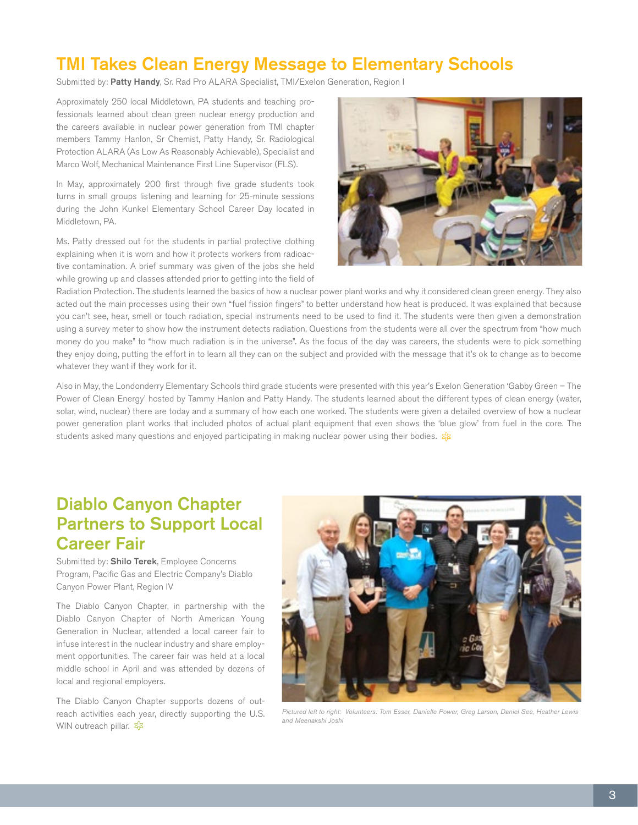#### TMI Takes Clean Energy Message to Elementary Schools

Submitted by: Patty Handy, Sr. Rad Pro ALARA Specialist, TMI/Exelon Generation, Region I

Approximately 250 local Middletown, PA students and teaching professionals learned about clean green nuclear energy production and the careers available in nuclear power generation from TMI chapter members Tammy Hanlon, Sr Chemist, Patty Handy, Sr. Radiological Protection ALARA (As Low As Reasonably Achievable), Specialist and Marco Wolf, Mechanical Maintenance First Line Supervisor (FLS).

In May, approximately 200 first through five grade students took turns in small groups listening and learning for 25-minute sessions during the John Kunkel Elementary School Career Day located in Middletown, PA.

Ms. Patty dressed out for the students in partial protective clothing explaining when it is worn and how it protects workers from radioactive contamination. A brief summary was given of the jobs she held while growing up and classes attended prior to getting into the field of



Radiation Protection. The students learned the basics of how a nuclear power plant works and why it considered clean green energy. They also acted out the main processes using their own "fuel fission fingers" to better understand how heat is produced. It was explained that because you can't see, hear, smell or touch radiation, special instruments need to be used to find it. The students were then given a demonstration using a survey meter to show how the instrument detects radiation. Questions from the students were all over the spectrum from "how much money do you make" to "how much radiation is in the universe". As the focus of the day was careers, the students were to pick something they enjoy doing, putting the effort in to learn all they can on the subject and provided with the message that it's ok to change as to become whatever they want if they work for it.

Also in May, the Londonderry Elementary Schools third grade students were presented with this year's Exelon Generation 'Gabby Green – The Power of Clean Energy' hosted by Tammy Hanlon and Patty Handy. The students learned about the different types of clean energy (water, solar, wind, nuclear) there are today and a summary of how each one worked. The students were given a detailed overview of how a nuclear power generation plant works that included photos of actual plant equipment that even shows the 'blue glow' from fuel in the core. The students asked many questions and enjoyed participating in making nuclear power using their bodies. \$

### Diablo Canyon Chapter Partners to Support Local Career Fair

Submitted by: Shilo Terek, Employee Concerns Program, Pacific Gas and Electric Company's Diablo Canyon Power Plant, Region IV

The Diablo Canyon Chapter, in partnership with the Diablo Canyon Chapter of North American Young Generation in Nuclear, attended a local career fair to infuse interest in the nuclear industry and share employment opportunities. The career fair was held at a local middle school in April and was attended by dozens of local and regional employers.

The Diablo Canyon Chapter supports dozens of outreach activities each year, directly supporting the U.S. WIN outreach pillar. \$



*Pictured left to right: Volunteers: Tom Esser, Danielle Power, Greg Larson, Daniel See, Heather Lewis and Meenakshi Joshi*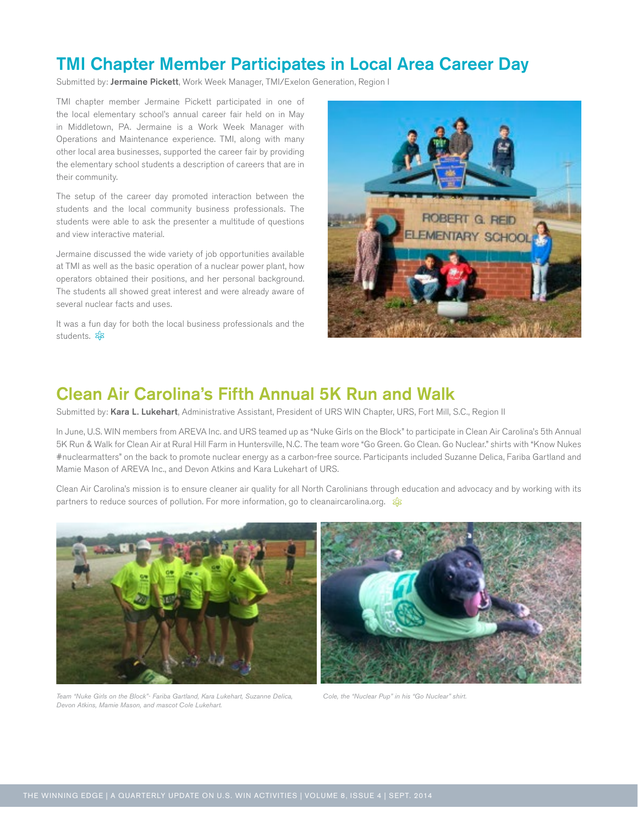#### TMI Chapter Member Participates in Local Area Career Day

Submitted by: Jermaine Pickett, Work Week Manager, TMI/Exelon Generation, Region I

TMI chapter member Jermaine Pickett participated in one of the local elementary school's annual career fair held on in May in Middletown, PA. Jermaine is a Work Week Manager with Operations and Maintenance experience. TMI, along with many other local area businesses, supported the career fair by providing the elementary school students a description of careers that are in their community.

The setup of the career day promoted interaction between the students and the local community business professionals. The students were able to ask the presenter a multitude of questions and view interactive material.

Jermaine discussed the wide variety of job opportunities available at TMI as well as the basic operation of a nuclear power plant, how operators obtained their positions, and her personal background. The students all showed great interest and were already aware of several nuclear facts and uses.

It was a fun day for both the local business professionals and the students. &B



#### Clean Air Carolina's Fifth Annual 5K Run and Walk

Submitted by: Kara L. Lukehart, Administrative Assistant, President of URS WIN Chapter, URS, Fort Mill, S.C., Region II

In June, U.S. WIN members from AREVA Inc. and URS teamed up as "Nuke Girls on the Block" to participate in Clean Air Carolina's 5th Annual 5K Run & Walk for Clean Air at Rural Hill Farm in Huntersville, N.C. The team wore "Go Green. Go Clean. Go Nuclear." shirts with "Know Nukes #nuclearmatters" on the back to promote nuclear energy as a carbon-free source. Participants included Suzanne Delica, Fariba Gartland and Mamie Mason of AREVA Inc., and Devon Atkins and Kara Lukehart of URS.

Clean Air Carolina's mission is to ensure cleaner air quality for all North Carolinians through education and advocacy and by working with its partners to reduce sources of pollution. For more information, go to cleanaircarolina.org. \$



*Team "Nuke Girls on the Block"- Fariba Gartland, Kara Lukehart, Suzanne Delica, Devon Atkins, Mamie Mason, and mascot Cole Lukehart.*

*Cole, the "Nuclear Pup" in his "Go Nuclear" shirt.*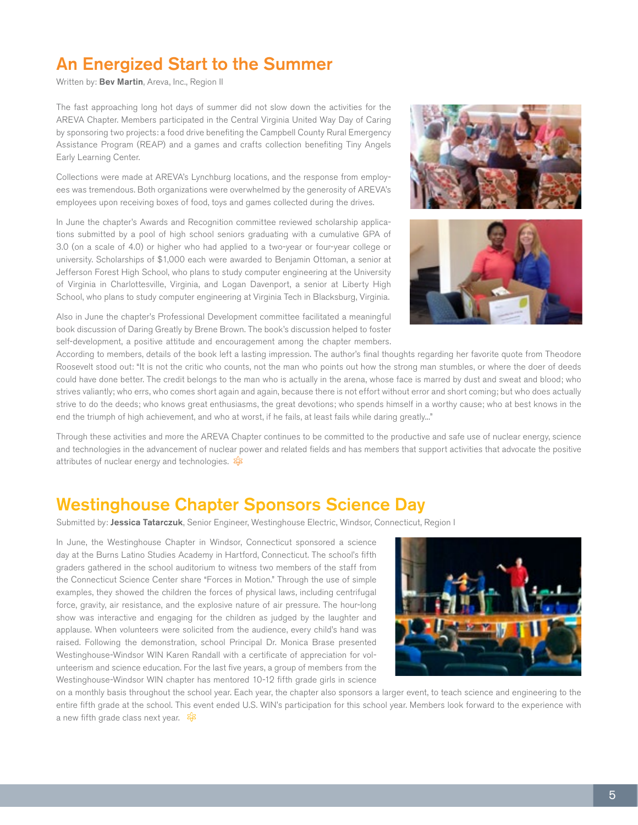### An Energized Start to the Summer

Written by: Bev Martin, Areva, Inc., Region II

The fast approaching long hot days of summer did not slow down the activities for the AREVA Chapter. Members participated in the Central Virginia United Way Day of Caring by sponsoring two projects: a food drive benefiting the Campbell County Rural Emergency Assistance Program (REAP) and a games and crafts collection benefiting Tiny Angels Early Learning Center.

Collections were made at AREVA's Lynchburg locations, and the response from employees was tremendous. Both organizations were overwhelmed by the generosity of AREVA's employees upon receiving boxes of food, toys and games collected during the drives.

In June the chapter's Awards and Recognition committee reviewed scholarship applications submitted by a pool of high school seniors graduating with a cumulative GPA of 3.0 (on a scale of 4.0) or higher who had applied to a two-year or four-year college or university. Scholarships of \$1,000 each were awarded to Benjamin Ottoman, a senior at Jefferson Forest High School, who plans to study computer engineering at the University of Virginia in Charlottesville, Virginia, and Logan Davenport, a senior at Liberty High School, who plans to study computer engineering at Virginia Tech in Blacksburg, Virginia.

Also in June the chapter's Professional Development committee facilitated a meaningful book discussion of Daring Greatly by Brene Brown. The book's discussion helped to foster self-development, a positive attitude and encouragement among the chapter members.





According to members, details of the book left a lasting impression. The author's final thoughts regarding her favorite quote from Theodore Roosevelt stood out: "It is not the critic who counts, not the man who points out how the strong man stumbles, or where the doer of deeds could have done better. The credit belongs to the man who is actually in the arena, whose face is marred by dust and sweat and blood; who strives valiantly; who errs, who comes short again and again, because there is not effort without error and short coming; but who does actually strive to do the deeds; who knows great enthusiasms, the great devotions; who spends himself in a worthy cause; who at best knows in the end the triumph of high achievement, and who at worst, if he fails, at least fails while daring greatly..."

Through these activities and more the AREVA Chapter continues to be committed to the productive and safe use of nuclear energy, science and technologies in the advancement of nuclear power and related fields and has members that support activities that advocate the positive attributes of nuclear energy and technologies.  $\frac{1}{2}$ 

#### Westinghouse Chapter Sponsors Science Day

Submitted by: Jessica Tatarczuk, Senior Engineer, Westinghouse Electric, Windsor, Connecticut, Region I

In June, the Westinghouse Chapter in Windsor, Connecticut sponsored a science day at the Burns Latino Studies Academy in Hartford, Connecticut. The school's fifth graders gathered in the school auditorium to witness two members of the staff from the Connecticut Science Center share "Forces in Motion." Through the use of simple examples, they showed the children the forces of physical laws, including centrifugal force, gravity, air resistance, and the explosive nature of air pressure. The hour-long show was interactive and engaging for the children as judged by the laughter and applause. When volunteers were solicited from the audience, every child's hand was raised. Following the demonstration, school Principal Dr. Monica Brase presented Westinghouse-Windsor WIN Karen Randall with a certificate of appreciation for volunteerism and science education. For the last five years, a group of members from the Westinghouse-Windsor WIN chapter has mentored 10-12 fifth grade girls in science



on a monthly basis throughout the school year. Each year, the chapter also sponsors a larger event, to teach science and engineering to the entire fifth grade at the school. This event ended U.S. WIN's participation for this school year. Members look forward to the experience with a new fifth grade class next year.  $\frac{2}{3}$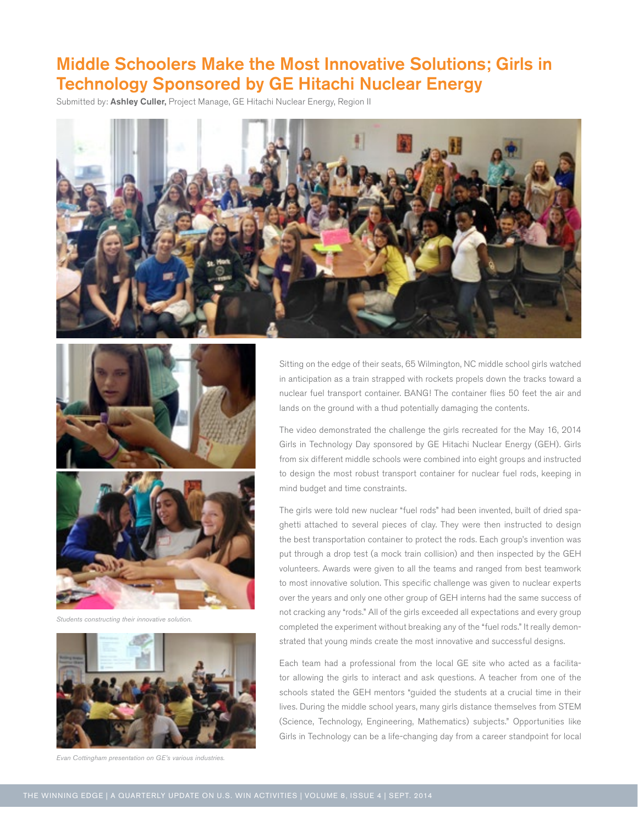### Middle Schoolers Make the Most Innovative Solutions; Girls in Technology Sponsored by GE Hitachi Nuclear Energy

Submitted by: Ashley Culler, Project Manage, GE Hitachi Nuclear Energy, Region II







*Students constructing their innovative solution.* 



*Evan Cottingham presentation on GE's various industries.*

Sitting on the edge of their seats, 65 Wilmington, NC middle school girls watched in anticipation as a train strapped with rockets propels down the tracks toward a nuclear fuel transport container. BANG! The container flies 50 feet the air and lands on the ground with a thud potentially damaging the contents.

The video demonstrated the challenge the girls recreated for the May 16, 2014 Girls in Technology Day sponsored by GE Hitachi Nuclear Energy (GEH). Girls from six different middle schools were combined into eight groups and instructed to design the most robust transport container for nuclear fuel rods, keeping in mind budget and time constraints.

The girls were told new nuclear "fuel rods" had been invented, built of dried spaghetti attached to several pieces of clay. They were then instructed to design the best transportation container to protect the rods. Each group's invention was put through a drop test (a mock train collision) and then inspected by the GEH volunteers. Awards were given to all the teams and ranged from best teamwork to most innovative solution. This specific challenge was given to nuclear experts over the years and only one other group of GEH interns had the same success of not cracking any "rods." All of the girls exceeded all expectations and every group completed the experiment without breaking any of the "fuel rods." It really demonstrated that young minds create the most innovative and successful designs.

Each team had a professional from the local GE site who acted as a facilitator allowing the girls to interact and ask questions. A teacher from one of the schools stated the GEH mentors "guided the students at a crucial time in their lives. During the middle school years, many girls distance themselves from STEM (Science, Technology, Engineering, Mathematics) subjects." Opportunities like Girls in Technology can be a life-changing day from a career standpoint for local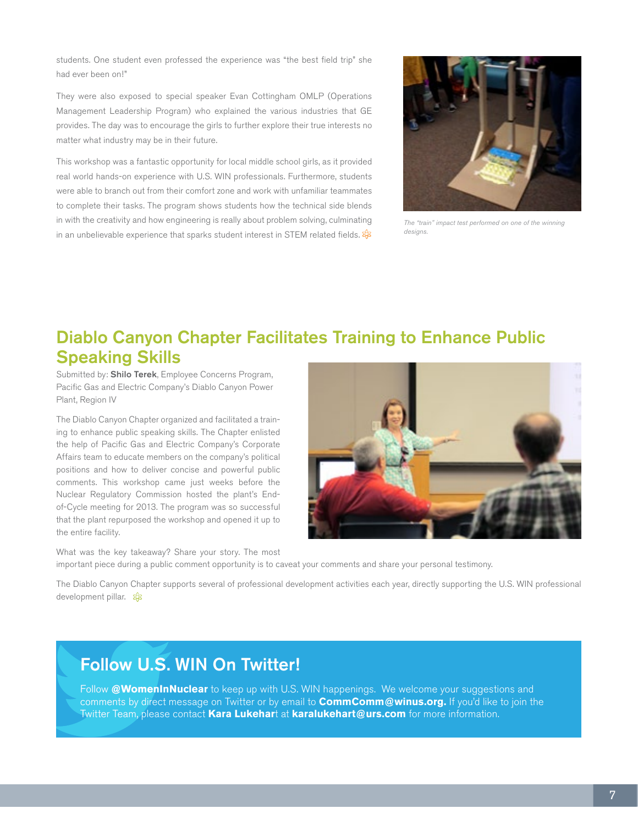students. One student even professed the experience was "the best field trip" she had ever been on!"

They were also exposed to special speaker Evan Cottingham OMLP (Operations Management Leadership Program) who explained the various industries that GE provides. The day was to encourage the girls to further explore their true interests no matter what industry may be in their future.

This workshop was a fantastic opportunity for local middle school girls, as it provided real world hands-on experience with U.S. WIN professionals. Furthermore, students were able to branch out from their comfort zone and work with unfamiliar teammates to complete their tasks. The program shows students how the technical side blends in with the creativity and how engineering is really about problem solving, culminating in an unbelievable experience that sparks student interest in STEM related fields.  $\frac{2}{3}$ 



*The "train" impact test performed on one of the winning designs.*

# Diablo Canyon Chapter Facilitates Training to Enhance Public Speaking Skills

Submitted by: Shilo Terek, Employee Concerns Program, Pacific Gas and Electric Company's Diablo Canyon Power Plant, Region IV

The Diablo Canyon Chapter organized and facilitated a training to enhance public speaking skills. The Chapter enlisted the help of Pacific Gas and Electric Company's Corporate Affairs team to educate members on the company's political positions and how to deliver concise and powerful public comments. This workshop came just weeks before the Nuclear Regulatory Commission hosted the plant's Endof-Cycle meeting for 2013. The program was so successful that the plant repurposed the workshop and opened it up to the entire facility.

What was the key takeaway? Share your story. The most important piece during a public comment opportunity is to caveat your comments and share your personal testimony.

The Diablo Canyon Chapter supports several of professional development activities each year, directly supporting the U.S. WIN professional development pillar. &

### Follow U.S. WIN On Twitter!

Follow **@WomenInNuclear** to keep up with U.S. WIN happenings. We welcome your suggestions and comments by direct message on Twitter or by email to **CommComm@winus.org.** If you'd like to join the Twitter Team, please contact **Kara Lukehar**t at **karalukehart@urs.com** for more information.